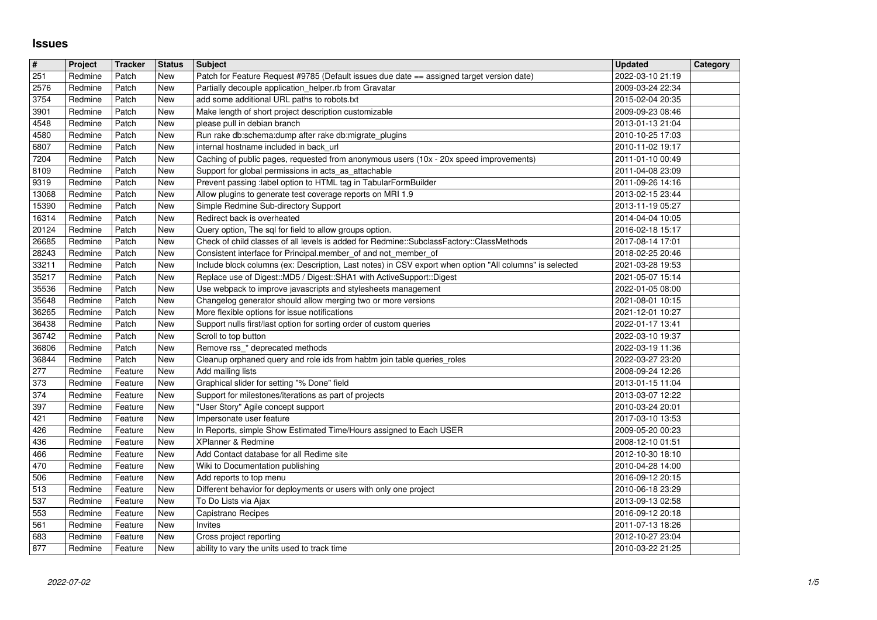## **Issues**

| $\vert$ #<br>251 | Project<br>Redmine | <b>Tracker</b><br>Patch | <b>Status</b><br>New | <b>Subject</b><br>Patch for Feature Request #9785 (Default issues due date == assigned target version date)                                                                        | <b>Updated</b><br>2022-03-10 21:19   | Category |
|------------------|--------------------|-------------------------|----------------------|------------------------------------------------------------------------------------------------------------------------------------------------------------------------------------|--------------------------------------|----------|
| 2576             | Redmine            | Patch                   | New                  | Partially decouple application_helper.rb from Gravatar                                                                                                                             | 2009-03-24 22:34                     |          |
| 3754<br>3901     | Redmine<br>Redmine | Patch<br>Patch          | New<br>New           | add some additional URL paths to robots.txt<br>Make length of short project description customizable                                                                               | 2015-02-04 20:35<br>2009-09-23 08:46 |          |
| 4548             | Redmine            | Patch                   | New                  | please pull in debian branch                                                                                                                                                       | 2013-01-13 21:04                     |          |
| 4580<br>6807     | Redmine<br>Redmine | Patch<br>Patch          | New<br>New           | Run rake db:schema:dump after rake db:migrate_plugins<br>internal hostname included in back_url                                                                                    | 2010-10-25 17:03<br>2010-11-02 19:17 |          |
| 7204             | Redmine            | Patch                   | New                  | Caching of public pages, requested from anonymous users (10x - 20x speed improvements)                                                                                             | 2011-01-10 00:49                     |          |
| 8109<br>9319     | Redmine<br>Redmine | Patch<br>Patch          | New<br>New           | Support for global permissions in acts_as_attachable<br>Prevent passing :label option to HTML tag in TabularFormBuilder                                                            | 2011-04-08 23:09<br>2011-09-26 14:16 |          |
| 13068            | Redmine            | Patch                   | New                  | Allow plugins to generate test coverage reports on MRI 1.9                                                                                                                         | 2013-02-15 23:44                     |          |
| 15390<br>16314   | Redmine<br>Redmine | Patch<br>Patch          | New<br><b>New</b>    | Simple Redmine Sub-directory Support<br>Redirect back is overheated                                                                                                                | 2013-11-19 05:27<br>2014-04-04 10:05 |          |
| 20124<br>26685   | Redmine<br>Redmine | Patch<br>Patch          | New<br>New           | Query option, The sql for field to allow groups option.<br>Check of child classes of all levels is added for Redmine::SubclassFactory::ClassMethods                                | 2016-02-18 15:17<br>2017-08-14 17:01 |          |
| 28243            | Redmine            | Patch                   | New                  | Consistent interface for Principal.member_of and not_member_of                                                                                                                     | 2018-02-25 20:46                     |          |
| 33211<br>35217   | Redmine<br>Redmine | Patch<br>Patch          | New<br><b>New</b>    | Include block columns (ex: Description, Last notes) in CSV export when option "All columns" is selected<br>Replace use of Digest:: MD5 / Digest:: SHA1 with ActiveSupport:: Digest | 2021-03-28 19:53<br>2021-05-07 15:14 |          |
| 35536            | Redmine<br>Redmine | Patch                   | New                  | Use webpack to improve javascripts and stylesheets management                                                                                                                      | 2022-01-05 08:00<br>2021-08-01 10:15 |          |
| 35648<br>36265   | Redmine            | Patch<br>Patch          | New<br>New           | Changelog generator should allow merging two or more versions<br>More flexible options for issue notifications                                                                     | 2021-12-01 10:27                     |          |
| 36438<br>36742   | Redmine<br>Redmine | Patch<br>Patch          | New<br>New           | Support nulls first/last option for sorting order of custom queries<br>Scroll to top button                                                                                        | 2022-01-17 13:41<br>2022-03-10 19:37 |          |
| 36806            | Redmine            | Patch                   | New                  | Remove rss_* deprecated methods                                                                                                                                                    | 2022-03-19 11:36                     |          |
| 36844<br>277     | Redmine<br>Redmine | Patch<br>Feature        | New<br>New           | Cleanup orphaned query and role ids from habtm join table queries_roles<br>Add mailing lists                                                                                       | 2022-03-27 23:20<br>2008-09-24 12:26 |          |
| 373<br>374       | Redmine<br>Redmine | Feature<br>Feature      | New<br>New           | Graphical slider for setting "% Done" field<br>Support for milestones/iterations as part of projects                                                                               | 2013-01-15 11:04<br>2013-03-07 12:22 |          |
| 397              | Redmine            | Feature                 | New                  | "User Story" Agile concept support                                                                                                                                                 | 2010-03-24 20:01                     |          |
| 421<br>426       | Redmine<br>Redmine | Feature<br>Feature      | New<br>New           | Impersonate user feature<br>In Reports, simple Show Estimated Time/Hours assigned to Each USER                                                                                     | 2017-03-10 13:53<br>2009-05-20 00:23 |          |
| 436              | Redmine            | Feature                 | New                  | XPlanner & Redmine                                                                                                                                                                 | 2008-12-10 01:51                     |          |
| 466<br>470       | Redmine<br>Redmine | Feature<br>Feature      | New<br>New           | Add Contact database for all Redime site<br>Wiki to Documentation publishing                                                                                                       | 2012-10-30 18:10<br>2010-04-28 14:00 |          |
| 506<br>513       | Redmine<br>Redmine | Feature<br>Feature      | New<br>New           | Add reports to top menu<br>Different behavior for deployments or users with only one project                                                                                       | 2016-09-12 20:15<br>2010-06-18 23:29 |          |
| 537              | Redmine            | Feature                 | New                  | To Do Lists via Ajax                                                                                                                                                               | 2013-09-13 02:58                     |          |
| 553<br>561       | Redmine<br>Redmine | Feature<br>Feature      | New<br>New           | Capistrano Recipes<br>Invites                                                                                                                                                      | 2016-09-12 20:18<br>2011-07-13 18:26 |          |
| 683<br>877       | Redmine<br>Redmine | Feature<br>Feature      | New<br>New           | Cross project reporting<br>ability to vary the units used to track time                                                                                                            | 2012-10-27 23:04<br>2010-03-22 21:25 |          |
|                  |                    |                         |                      |                                                                                                                                                                                    |                                      |          |
|                  |                    |                         |                      |                                                                                                                                                                                    |                                      |          |
|                  |                    |                         |                      |                                                                                                                                                                                    |                                      |          |
|                  |                    |                         |                      |                                                                                                                                                                                    |                                      |          |
|                  |                    |                         |                      |                                                                                                                                                                                    |                                      |          |
|                  |                    |                         |                      |                                                                                                                                                                                    |                                      |          |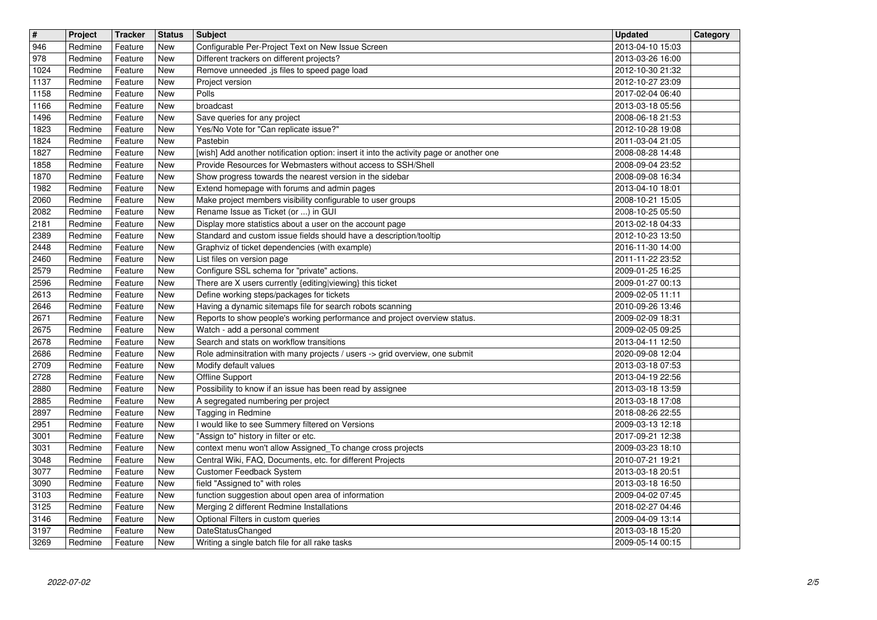| #            | Project            | <b>Tracker</b>     | <b>Status</b>                    | <b>Subject</b>                                                                                                       | <b>Updated</b><br>2013-04-10 15:03   | Category |
|--------------|--------------------|--------------------|----------------------------------|----------------------------------------------------------------------------------------------------------------------|--------------------------------------|----------|
| 946<br>978   | Redmine<br>Redmine | Feature<br>Feature | New<br>New                       | Configurable Per-Project Text on New Issue Screen<br>Different trackers on different projects?                       | 2013-03-26 16:00                     |          |
| 1024<br>1137 | Redmine<br>Redmine | Feature<br>Feature | <b>New</b><br>New                | Remove unneeded .js files to speed page load<br>Project version                                                      | 2012-10-30 21:32<br>2012-10-27 23:09 |          |
| 1158         | Redmine            | Feature            | New                              | Polls                                                                                                                | 2017-02-04 06:40                     |          |
| 1166<br>1496 | Redmine<br>Redmine | Feature<br>Feature | New<br>New                       | broadcast<br>Save queries for any project                                                                            | 2013-03-18 05:56<br>2008-06-18 21:53 |          |
| 1823         | Redmine            | Feature            | New                              | Yes/No Vote for "Can replicate issue?"                                                                               | 2012-10-28 19:08                     |          |
| 1824<br>1827 | Redmine<br>Redmine | Feature<br>Feature | New<br>New                       | Pastebin<br>[wish] Add another notification option: insert it into the activity page or another one                  | 2011-03-04 21:05<br>2008-08-28 14:48 |          |
| 1858         | Redmine            | Feature            | New                              | Provide Resources for Webmasters without access to SSH/Shell                                                         | 2008-09-04 23:52                     |          |
| 1870<br>1982 | Redmine<br>Redmine | Feature<br>Feature | <b>New</b><br>New                | Show progress towards the nearest version in the sidebar<br>Extend homepage with forums and admin pages              | 2008-09-08 16:34<br>2013-04-10 18:01 |          |
| 2060<br>2082 | Redmine<br>Redmine | Feature<br>Feature | New<br>New                       | Make project members visibility configurable to user groups<br>Rename Issue as Ticket (or ) in GUI                   | 2008-10-21 15:05<br>2008-10-25 05:50 |          |
| 2181         | Redmine            | Feature            | New                              | Display more statistics about a user on the account page                                                             | 2013-02-18 04:33                     |          |
| 2389<br>2448 | Redmine<br>Redmine | Feature<br>Feature | New<br>New                       | Standard and custom issue fields should have a description/tooltip<br>Graphviz of ticket dependencies (with example) | 2012-10-23 13:50<br>2016-11-30 14:00 |          |
| 2460         | Redmine            | Feature            | New                              | List files on version page                                                                                           | 2011-11-22 23:52                     |          |
| 2579<br>2596 | Redmine<br>Redmine | Feature<br>Feature | New<br>New                       | Configure SSL schema for "private" actions.<br>There are X users currently {editing viewing} this ticket             | 2009-01-25 16:25<br>2009-01-27 00:13 |          |
| 2613<br>2646 | Redmine<br>Redmine | Feature<br>Feature | New<br>New                       | Define working steps/packages for tickets<br>Having a dynamic sitemaps file for search robots scanning               | 2009-02-05 11:11<br>2010-09-26 13:46 |          |
| 2671         | Redmine            | Feature            | New                              | Reports to show people's working performance and project overview status.                                            | 2009-02-09 18:31                     |          |
| 2675<br>2678 | Redmine<br>Redmine | Feature<br>Feature | New<br>New                       | Watch - add a personal comment<br>Search and stats on workflow transitions                                           | 2009-02-05 09:25<br>2013-04-11 12:50 |          |
| 2686         | Redmine            | Feature            | New                              | Role adminsitration with many projects / users -> grid overview, one submit                                          | 2020-09-08 12:04                     |          |
| 2709<br>2728 | Redmine<br>Redmine | Feature<br>Feature | New<br>New                       | Modify default values<br>Offline Support                                                                             | 2013-03-18 07:53<br>2013-04-19 22:56 |          |
| 2880         | Redmine            | Feature            | New                              | Possibility to know if an issue has been read by assignee                                                            | 2013-03-18 13:59                     |          |
| 2885<br>2897 | Redmine<br>Redmine | Feature<br>Feature | New<br>New                       | A segregated numbering per project<br>Tagging in Redmine                                                             | 2013-03-18 17:08<br>2018-08-26 22:55 |          |
| 2951         | Redmine            | Feature            | New                              | I would like to see Summery filtered on Versions                                                                     | 2009-03-13 12:18                     |          |
| 3001<br>3031 | Redmine<br>Redmine | Feature<br>Feature | New<br>New                       | "Assign to" history in filter or etc.<br>context menu won't allow Assigned_To change cross projects                  | 2017-09-21 12:38<br>2009-03-23 18:10 |          |
| 3048<br>3077 | Redmine<br>Redmine | Feature<br>Feature | New<br>New                       | Central Wiki, FAQ, Documents, etc. for different Projects<br><b>Customer Feedback System</b>                         | 2010-07-21 19:21<br>2013-03-18 20:51 |          |
| 3090         | Redmine            | Feature            | New                              | field "Assigned to" with roles                                                                                       | 2013-03-18 16:50                     |          |
| 3103<br>3125 | Redmine<br>Redmine | Feature<br>Feature | $\overline{\mathsf{New}}$<br>New | function suggestion about open area of information<br>Merging 2 different Redmine Installations                      | 2009-04-02 07:45<br>2018-02-27 04:46 |          |
| 3146         | Redmine            | Feature            | New                              | Optional Filters in custom queries                                                                                   | 2009-04-09 13:14                     |          |
| 3197<br>3269 | Redmine<br>Redmine | Feature<br>Feature | New<br>New                       | DateStatusChanged<br>Writing a single batch file for all rake tasks                                                  | 2013-03-18 15:20<br>2009-05-14 00:15 |          |
|              |                    |                    |                                  |                                                                                                                      |                                      |          |
|              |                    |                    |                                  |                                                                                                                      |                                      |          |
|              |                    |                    |                                  |                                                                                                                      |                                      |          |
|              |                    |                    |                                  |                                                                                                                      |                                      |          |
|              |                    |                    |                                  |                                                                                                                      |                                      |          |
|              |                    |                    |                                  |                                                                                                                      |                                      |          |
|              |                    |                    |                                  |                                                                                                                      |                                      |          |
|              |                    |                    |                                  |                                                                                                                      |                                      |          |
|              |                    |                    |                                  |                                                                                                                      |                                      |          |
|              |                    |                    |                                  |                                                                                                                      |                                      |          |
|              |                    |                    |                                  |                                                                                                                      |                                      |          |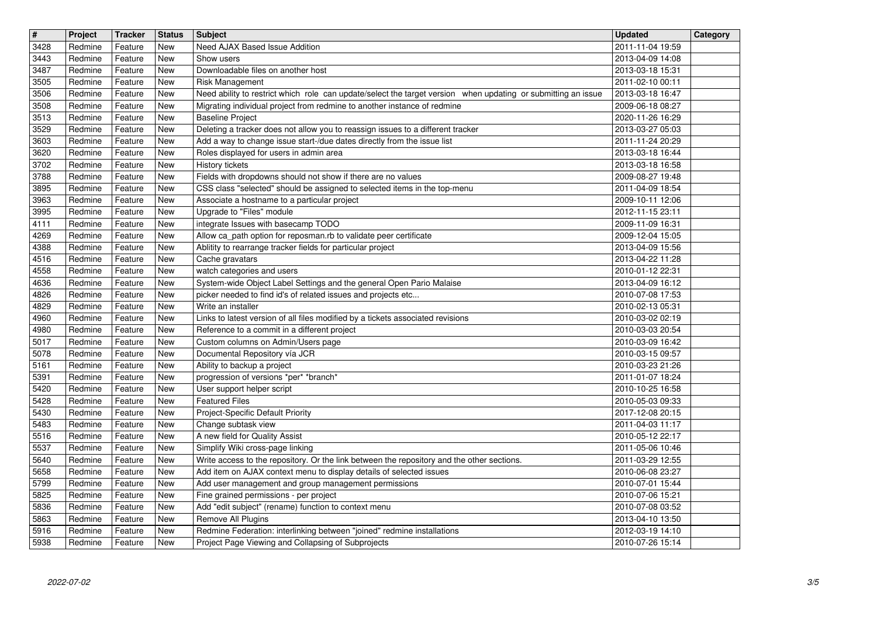| $\overline{\mathbf{t}}$ | Project            | Tracker            | <b>Status</b>     | <b>Subject</b><br><b>Need AJAX Based Issue Addition</b>                                                                                                           | <b>Updated</b>                       | Category |
|-------------------------|--------------------|--------------------|-------------------|-------------------------------------------------------------------------------------------------------------------------------------------------------------------|--------------------------------------|----------|
| 3428<br>3443            | Redmine<br>Redmine | Feature<br>Feature | New<br>New        | Show users                                                                                                                                                        | 2011-11-04 19:59<br>2013-04-09 14:08 |          |
| 3487<br>3505            | Redmine<br>Redmine | Feature<br>Feature | New<br>New        | Downloadable files on another host<br>Risk Management                                                                                                             | 2013-03-18 15:31<br>2011-02-10 00:11 |          |
| 3506                    | Redmine            | Feature            | New               | Need ability to restrict which role can update/select the target version when updating or submitting an issue                                                     | 2013-03-18 16:47                     |          |
| 3508<br>3513            | Redmine<br>Redmine | Feature<br>Feature | New<br>New        | Migrating individual project from redmine to another instance of redmine<br><b>Baseline Project</b>                                                               | 2009-06-18 08:27<br>2020-11-26 16:29 |          |
| 3529                    | Redmine            | Feature            | New               | Deleting a tracker does not allow you to reassign issues to a different tracker                                                                                   | 2013-03-27 05:03                     |          |
| 3603<br>3620            | Redmine<br>Redmine | Feature<br>Feature | New<br>New        | Add a way to change issue start-/due dates directly from the issue list<br>Roles displayed for users in admin area                                                | 2011-11-24 20:29<br>2013-03-18 16:44 |          |
| 3702                    | Redmine            | Feature            | New               | History tickets                                                                                                                                                   | 2013-03-18 16:58                     |          |
| 3788<br>3895            | Redmine<br>Redmine | Feature<br>Feature | New<br>New        | Fields with dropdowns should not show if there are no values<br>CSS class "selected" should be assigned to selected items in the top-menu                         | 2009-08-27 19:48<br>2011-04-09 18:54 |          |
| 3963                    | Redmine            | Feature            | New               | Associate a hostname to a particular project                                                                                                                      | 2009-10-11 12:06                     |          |
| 3995<br>4111            | Redmine<br>Redmine | Feature<br>Feature | New<br>New        | Upgrade to "Files" module<br>integrate Issues with basecamp TODO                                                                                                  | 2012-11-15 23:11<br>2009-11-09 16:31 |          |
| 4269                    | Redmine            | Feature            | New               | Allow ca_path option for reposman.rb to validate peer certificate                                                                                                 | 2009-12-04 15:05                     |          |
| 4388<br>4516            | Redmine<br>Redmine | Feature<br>Feature | New<br>New        | Ablitity to rearrange tracker fields for particular project<br>Cache gravatars                                                                                    | 2013-04-09 15:56<br>2013-04-22 11:28 |          |
| 4558                    | Redmine            | Feature            | New               | watch categories and users                                                                                                                                        | 2010-01-12 22:31                     |          |
| 4636<br>4826            | Redmine<br>Redmine | Feature<br>Feature | New<br>New        | System-wide Object Label Settings and the general Open Pario Malaise<br>picker needed to find id's of related issues and projects etc                             | 2013-04-09 16:12<br>2010-07-08 17:53 |          |
| 4829                    | Redmine            | Feature            | New               | Write an installer                                                                                                                                                | 2010-02-13 05:31                     |          |
| 4960<br>4980            | Redmine<br>Redmine | Feature<br>Feature | New<br><b>New</b> | Links to latest version of all files modified by a tickets associated revisions<br>Reference to a commit in a different project                                   | 2010-03-02 02:19<br>2010-03-03 20:54 |          |
| 5017                    | Redmine            | Feature            | New               | Custom columns on Admin/Users page                                                                                                                                | 2010-03-09 16:42                     |          |
| 5078<br>5161            | Redmine<br>Redmine | Feature<br>Feature | New<br>New        | Documental Repository vía JCR<br>Ability to backup a project                                                                                                      | 2010-03-15 09:57<br>2010-03-23 21:26 |          |
| 5391                    | Redmine            | Feature            | New               | progression of versions *per* *branch*                                                                                                                            | 2011-01-07 18:24                     |          |
| 5420<br>5428            | Redmine<br>Redmine | Feature<br>Feature | New<br>New        | User support helper script<br><b>Featured Files</b>                                                                                                               | 2010-10-25 16:58<br>2010-05-03 09:33 |          |
| 5430                    | Redmine            | Feature            | New               | Project-Specific Default Priority                                                                                                                                 | 2017-12-08 20:15                     |          |
| 5483<br>5516            | Redmine<br>Redmine | Feature<br>Feature | New<br>New        | Change subtask view<br>A new field for Quality Assist                                                                                                             | 2011-04-03 11:17<br>2010-05-12 22:17 |          |
| 5537                    | Redmine            | Feature            | New               | Simplify Wiki cross-page linking                                                                                                                                  | 2011-05-06 10:46                     |          |
| 5640<br>5658            | Redmine<br>Redmine | Feature<br>Feature | New<br>New        | Write access to the repository. Or the link between the repository and the other sections.<br>Add item on AJAX context menu to display details of selected issues | 2011-03-29 12:55<br>2010-06-08 23:27 |          |
| 5799                    | Redmine            | Feature            | New               | Add user management and group management permissions                                                                                                              | 2010-07-01 15:44                     |          |
| 5825<br>5836            | Redmine<br>Redmine | Feature<br>Feature | New<br>New        | Fine grained permissions - per project<br>Add "edit subject" (rename) function to context menu                                                                    | 2010-07-06 15:21<br>2010-07-08 03:52 |          |
| 5863                    | Redmine            | Feature            | New               | Remove All Plugins                                                                                                                                                | 2013-04-10 13:50                     |          |
| 5916<br>5938            | Redmine<br>Redmine | Feature<br>Feature | New<br>New        | Redmine Federation: interlinking between "joined" redmine installations<br>Project Page Viewing and Collapsing of Subprojects                                     | 2012-03-19 14:10<br>2010-07-26 15:14 |          |
|                         |                    |                    |                   |                                                                                                                                                                   |                                      |          |
|                         |                    |                    |                   |                                                                                                                                                                   |                                      |          |
|                         |                    |                    |                   |                                                                                                                                                                   |                                      |          |
|                         |                    |                    |                   |                                                                                                                                                                   |                                      |          |
|                         |                    |                    |                   |                                                                                                                                                                   |                                      |          |
|                         |                    |                    |                   |                                                                                                                                                                   |                                      |          |
|                         |                    |                    |                   |                                                                                                                                                                   |                                      |          |
|                         |                    |                    |                   |                                                                                                                                                                   |                                      |          |
|                         |                    |                    |                   |                                                                                                                                                                   |                                      |          |
|                         |                    |                    |                   |                                                                                                                                                                   |                                      |          |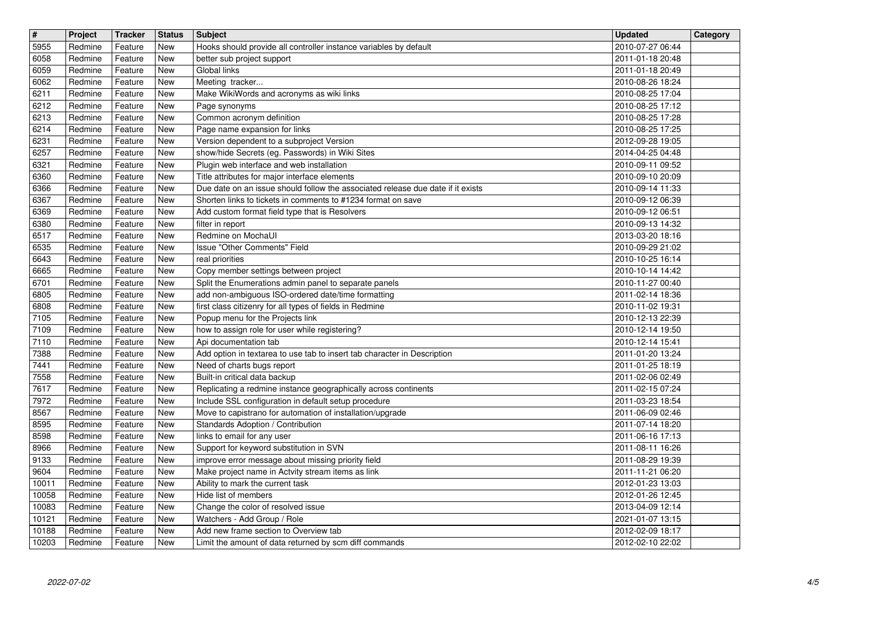| $\overline{\mathbf{t}}$ | Project            | Tracker            | <b>Status</b>            | <b>Subject</b>                                                                                                          | <b>Updated</b>                       | Category |
|-------------------------|--------------------|--------------------|--------------------------|-------------------------------------------------------------------------------------------------------------------------|--------------------------------------|----------|
| 5955<br>6058            | Redmine<br>Redmine | Feature<br>Feature | New<br><b>New</b>        | Hooks should provide all controller instance variables by default<br>better sub project support                         | 2010-07-27 06:44<br>2011-01-18 20:48 |          |
| 6059                    | Redmine            | Feature            | New                      | Global links                                                                                                            | 2011-01-18 20:49                     |          |
| 6062<br>6211            | Redmine<br>Redmine | Feature<br>Feature | <b>New</b><br><b>New</b> | Meeting tracker<br>Make WikiWords and acronyms as wiki links                                                            | 2010-08-26 18:24<br>2010-08-25 17:04 |          |
| 6212                    | Redmine            | Feature            | New                      | Page synonyms                                                                                                           | 2010-08-25 17:12                     |          |
| 6213                    | Redmine            | Feature            | New                      | Common acronym definition                                                                                               | 2010-08-25 17:28                     |          |
| 6214<br>6231            | Redmine<br>Redmine | Feature<br>Feature | New<br>New               | Page name expansion for links<br>Version dependent to a subproject Version                                              | 2010-08-25 17:25<br>2012-09-28 19:05 |          |
| 6257                    | Redmine            | Feature            | New                      | show/hide Secrets (eg. Passwords) in Wiki Sites                                                                         | 2014-04-25 04:48                     |          |
| 6321<br>6360            | Redmine<br>Redmine | Feature<br>Feature | <b>New</b><br>New        | Plugin web interface and web installation<br>Title attributes for major interface elements                              | 2010-09-11 09:52<br>2010-09-10 20:09 |          |
| 6366                    | Redmine            | Feature            | <b>New</b>               | Due date on an issue should follow the associated release due date if it exists                                         | 2010-09-14 11:33                     |          |
| 6367<br>6369            | Redmine<br>Redmine | Feature<br>Feature | <b>New</b><br>New        | Shorten links to tickets in comments to #1234 format on save<br>Add custom format field type that is Resolvers          | 2010-09-12 06:39<br>2010-09-12 06:51 |          |
| 6380                    | Redmine            | Feature            | New                      | filter in report                                                                                                        | 2010-09-13 14:32                     |          |
| 6517<br>6535            | Redmine<br>Redmine | Feature<br>Feature | New<br>New               | Redmine on MochaUI<br>Issue "Other Comments" Field                                                                      | 2013-03-20 18:16<br>2010-09-29 21:02 |          |
| 6643                    | Redmine            | Feature            | New                      | real priorities                                                                                                         | 2010-10-25 16:14                     |          |
| 6665<br>6701            | Redmine<br>Redmine | Feature<br>Feature | New<br><b>New</b>        | Copy member settings between project<br>Split the Enumerations admin panel to separate panels                           | 2010-10-14 14:42<br>2010-11-27 00:40 |          |
| 6805                    | Redmine            | Feature            | New                      | add non-ambiguous ISO-ordered date/time formatting                                                                      | 2011-02-14 18:36                     |          |
| 6808<br>7105            | Redmine<br>Redmine | Feature<br>Feature | New<br>New               | first class citizenry for all types of fields in Redmine<br>Popup menu for the Projects link                            | 2010-11-02 19:31<br>2010-12-13 22:39 |          |
| 7109                    | Redmine            | Feature            | New                      | how to assign role for user while registering?                                                                          | 2010-12-14 19:50                     |          |
| 7110                    | Redmine            | Feature            | New                      | Api documentation tab                                                                                                   | 2010-12-14 15:41                     |          |
| 7388<br>7441            | Redmine<br>Redmine | Feature<br>Feature | New<br>New               | Add option in textarea to use tab to insert tab character in Description<br>Need of charts bugs report                  | 2011-01-20 13:24<br>2011-01-25 18:19 |          |
| 7558                    | Redmine            | Feature            | New                      | Built-in critical data backup                                                                                           | 2011-02-06 02:49                     |          |
| 7617<br>7972            | Redmine<br>Redmine | Feature<br>Feature | New<br>New               | Replicating a redmine instance geographically across continents<br>Include SSL configuration in default setup procedure | 2011-02-15 07:24<br>2011-03-23 18:54 |          |
| 8567                    | Redmine            | Feature            | New                      | Move to capistrano for automation of installation/upgrade                                                               | 2011-06-09 02:46                     |          |
| 8595<br>8598            | Redmine<br>Redmine | Feature<br>Feature | New<br>New               | Standards Adoption / Contribution<br>links to email for any user                                                        | 2011-07-14 18:20<br>2011-06-16 17:13 |          |
| 8966                    | Redmine            | Feature            | New                      | Support for keyword substitution in SVN                                                                                 | 2011-08-11 16:26                     |          |
| 9133<br>9604            | Redmine<br>Redmine | Feature<br>Feature | New<br>New               | improve error message about missing priority field<br>Make project name in Actvity stream items as link                 | 2011-08-29 19:39                     |          |
| 10011                   | Redmine            | Feature            | New                      | Ability to mark the current task                                                                                        | 2011-11-21 06:20<br>2012-01-23 13:03 |          |
| 10058                   | Redmine            | Feature            | New                      | Hide list of members                                                                                                    | 2012-01-26 12:45                     |          |
| 10083<br>10121          | Redmine<br>Redmine | Feature<br>Feature | New<br>New               | Change the color of resolved issue<br>Watchers - Add Group / Role                                                       | 2013-04-09 12:14<br>2021-01-07 13:15 |          |
| 10188<br>10203          | Redmine<br>Redmine | Feature<br>Feature | New<br>New               | Add new frame section to Overview tab<br>Limit the amount of data returned by scm diff commands                         | 2012-02-09 18:17<br>2012-02-10 22:02 |          |
|                         |                    |                    |                          |                                                                                                                         |                                      |          |
|                         |                    |                    |                          |                                                                                                                         |                                      |          |
|                         |                    |                    |                          |                                                                                                                         |                                      |          |
|                         |                    |                    |                          |                                                                                                                         |                                      |          |
|                         |                    |                    |                          |                                                                                                                         |                                      |          |
|                         |                    |                    |                          |                                                                                                                         |                                      |          |
|                         |                    |                    |                          |                                                                                                                         |                                      |          |
|                         |                    |                    |                          |                                                                                                                         |                                      |          |
|                         |                    |                    |                          |                                                                                                                         |                                      |          |
|                         |                    |                    |                          |                                                                                                                         |                                      |          |
|                         |                    |                    |                          |                                                                                                                         |                                      |          |
|                         |                    |                    |                          |                                                                                                                         |                                      |          |
|                         |                    |                    |                          |                                                                                                                         |                                      |          |
|                         |                    |                    |                          |                                                                                                                         |                                      |          |
|                         |                    |                    |                          |                                                                                                                         |                                      |          |
|                         |                    |                    |                          |                                                                                                                         |                                      |          |
|                         |                    |                    |                          |                                                                                                                         |                                      |          |
|                         |                    |                    |                          |                                                                                                                         |                                      |          |
|                         |                    |                    |                          |                                                                                                                         |                                      |          |
|                         |                    |                    |                          |                                                                                                                         |                                      |          |
|                         |                    |                    |                          |                                                                                                                         |                                      |          |
|                         |                    |                    |                          |                                                                                                                         |                                      |          |
|                         |                    |                    |                          |                                                                                                                         |                                      |          |
|                         |                    |                    |                          |                                                                                                                         |                                      |          |
|                         |                    |                    |                          |                                                                                                                         |                                      |          |